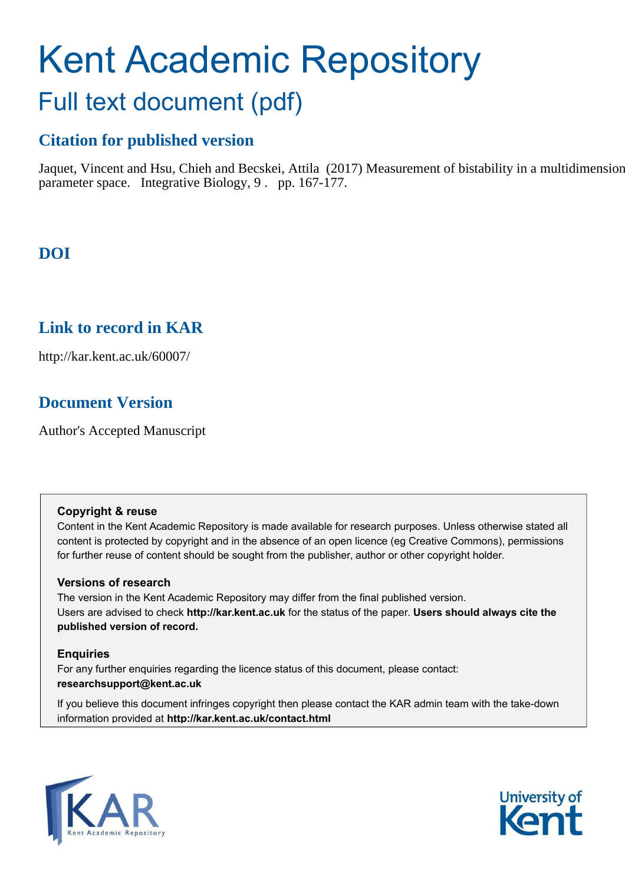# Kent Academic Repository

## Full text document (pdf)

## **Citation for published version**

Jaquet, Vincent and Hsu, Chieh and Becskei, Attila (2017) Measurement of bistability in a multidimension parameter space. Integrative Biology, 9 . pp. 167-177.

## **DOI**

## **Link to record in KAR**

http://kar.kent.ac.uk/60007/

## **Document Version**

Author's Accepted Manuscript

#### **Copyright & reuse**

Content in the Kent Academic Repository is made available for research purposes. Unless otherwise stated all content is protected by copyright and in the absence of an open licence (eg Creative Commons), permissions for further reuse of content should be sought from the publisher, author or other copyright holder.

#### **Versions of research**

The version in the Kent Academic Repository may differ from the final published version. Users are advised to check **http://kar.kent.ac.uk** for the status of the paper. **Users should always cite the published version of record.**

#### **Enquiries**

For any further enquiries regarding the licence status of this document, please contact: **researchsupport@kent.ac.uk**

If you believe this document infringes copyright then please contact the KAR admin team with the take-down information provided at **http://kar.kent.ac.uk/contact.html**



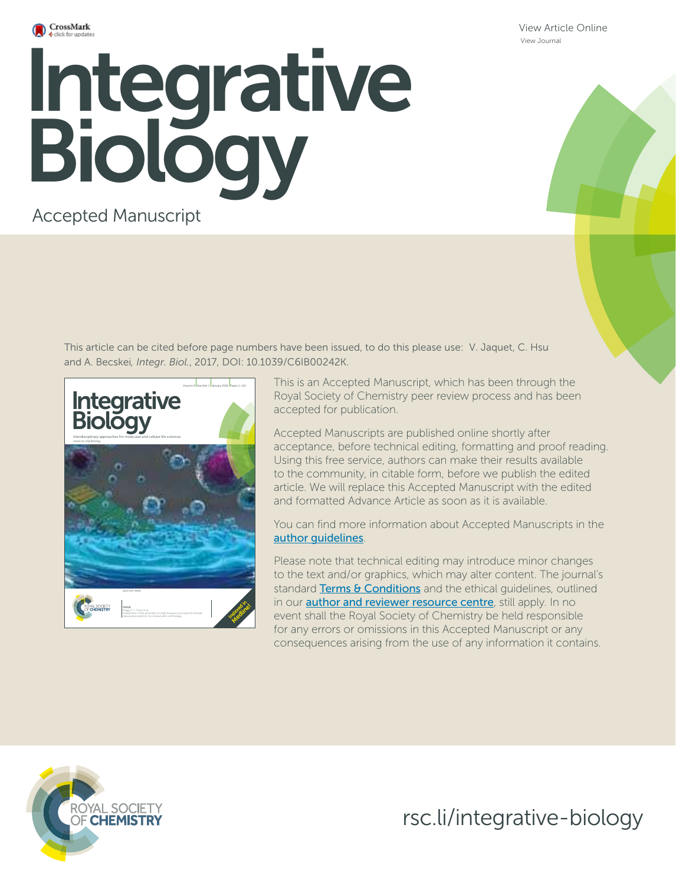

Integrative **Biology** 

Accepted Manuscript

This article can be cited before page numbers have been issued, to do this please use: V. Jaquet, C. Hsu and A. Becskei*, Integr. Biol.*, 2017, DOI: 10.1039/C6IB00242K.



This is an Accepted Manuscript, which has been through the Royal Society of Chemistry peer review process and has been accepted for publication.

Accepted Manuscripts are published online shortly after acceptance, before technical editing, formatting and proof reading. Using this free service, authors can make their results available to the community, in citable form, before we publish the edited article. We will replace this Accepted Manuscript with the edited and formatted Advance Article as soon as it is available.

You can find more information about Accepted Manuscripts in the [author guidelines](http://www.rsc.org/Publishing/Journals/guidelines/AuthorGuidelines/JournalPolicy/accepted_manuscripts.asp).

Please note that technical editing may introduce minor changes to the text and/or graphics, which may alter content. The journal's standard [Terms & Conditions](http://www.rsc.org/help/termsconditions.asp) and the ethical quidelines, outlined in our **[author and reviewer resource centre](http://www.rsc.org/publishing/journals/guidelines/)**, still apply. In no event shall the Royal Society of Chemistry be held responsible for any errors or omissions in this Accepted Manuscript or any consequences arising from the use of any information it contains.



rsc.li/integrative-biology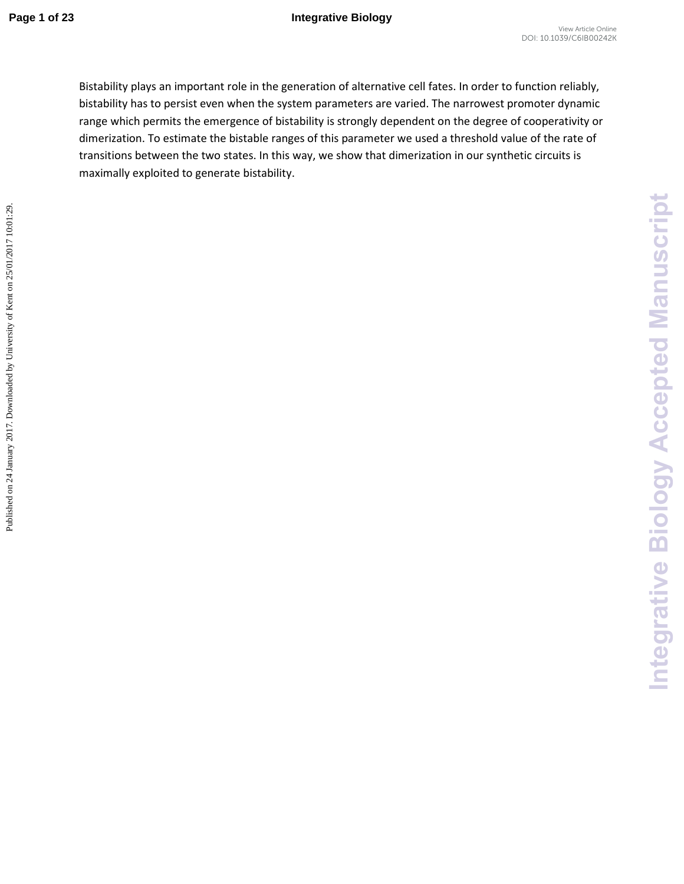Bistability plays an important role in the generation of alternative cell fates. In order to function reliably, bistability has to persist even when the system parameters are varied. The narrowest promoter dynamic range which permits the emergence of bistability is strongly dependent on the degree of cooperativity or dimerization. To estimate the bistable ranges of this parameter we used a threshold value of the rate of transitions between the two states. In this way, we show that dimerization in our synthetic circuits is maximally exploited to generate bistability.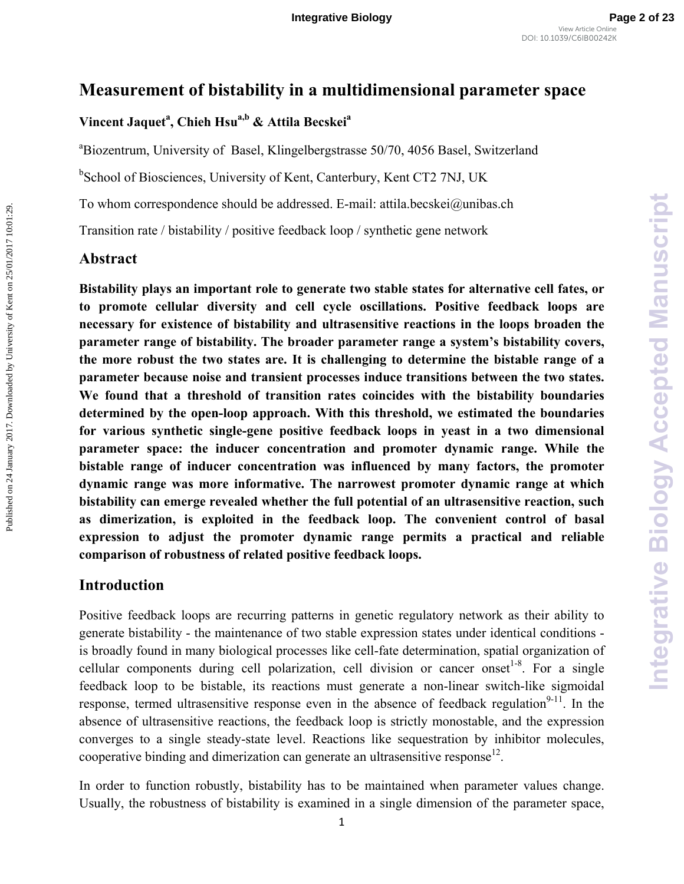#### **Measurement of bistability in a multidimensional parameter space**

#### **Vincent Jaquet<sup>a</sup> , Chieh Hsua,b & Attila Becskei<sup>a</sup>**

<sup>a</sup>Biozentrum, University of Basel, Klingelbergstrasse 50/70, 4056 Basel, Switzerland

<sup>b</sup>School of Biosciences, University of Kent, Canterbury, Kent CT2 7NJ, UK

To whom correspondence should be addressed. E-mail: attila.becskei@unibas.ch

Transition rate / bistability / positive feedback loop / synthetic gene network

#### **Abstract**

**Bistability plays an important role to generate two stable states for alternative cell fates, or to promote cellular diversity and cell cycle oscillations. Positive feedback loops are necessary for existence of bistability and ultrasensitive reactions in the loops broaden the**  parameter range of bistability. The broader parameter range a system's bistability covers, **the more robust the two states are. It is challenging to determine the bistable range of a parameter because noise and transient processes induce transitions between the two states. We found that a threshold of transition rates coincides with the bistability boundaries determined by the open-loop approach. With this threshold, we estimated the boundaries for various synthetic single-gene positive feedback loops in yeast in a two dimensional parameter space: the inducer concentration and promoter dynamic range. While the bistable range of inducer concentration was influenced by many factors, the promoter dynamic range was more informative. The narrowest promoter dynamic range at which bistability can emerge revealed whether the full potential of an ultrasensitive reaction, such as dimerization, is exploited in the feedback loop. The convenient control of basal expression to adjust the promoter dynamic range permits a practical and reliable comparison of robustness of related positive feedback loops.** 

#### **Introduction**

Positive feedback loops are recurring patterns in genetic regulatory network as their ability to generate bistability - the maintenance of two stable expression states under identical conditions is broadly found in many biological processes like cell-fate determination, spatial organization of cellular components during cell polarization, cell division or cancer onset  $1-8$ . For a single feedback loop to be bistable, its reactions must generate a non-linear switch-like sigmoidal response, termed ultrasensitive response even in the absence of feedback regulation<sup>[9-11](#page-14-1)</sup>. In the absence of ultrasensitive reactions, the feedback loop is strictly monostable, and the expression converges to a single steady-state level. Reactions like sequestration by inhibitor molecules, cooperative binding and dimerization can generate an ultrasensitive response<sup>[12](#page-14-2)</sup>.

In order to function robustly, bistability has to be maintained when parameter values change. Usually, the robustness of bistability is examined in a single dimension of the parameter space,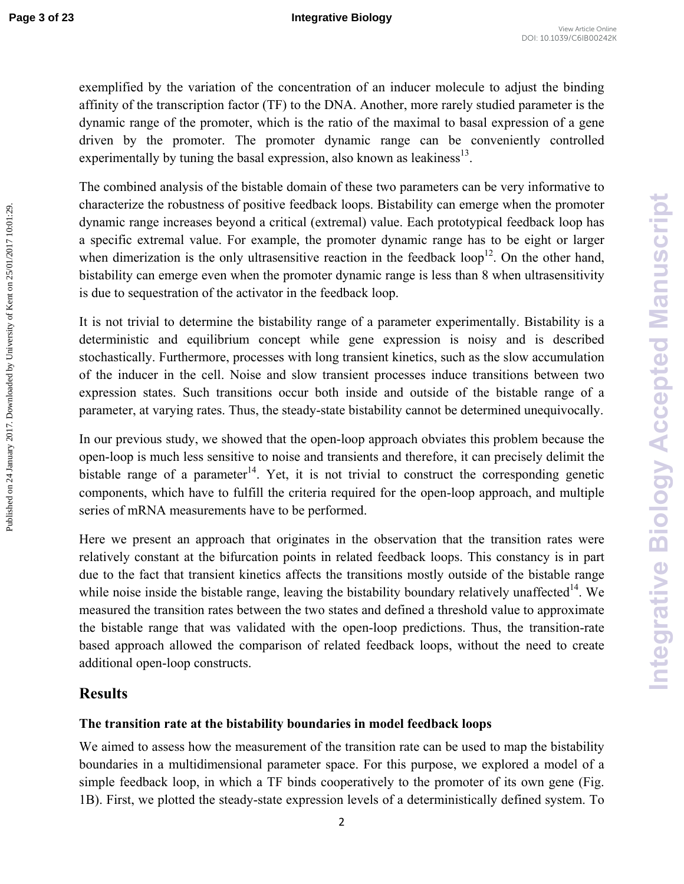Published on 24 January 2017. Downloaded by University of Kent on 25/01/2017 10:01:29.

Published on 24 January 2017. Downloaded by University of Kent on 25/01/2017 10:01:29.

exemplified by the variation of the concentration of an inducer molecule to adjust the binding affinity of the transcription factor (TF) to the DNA. Another, more rarely studied parameter is the dynamic range of the promoter, which is the ratio of the maximal to basal expression of a gene driven by the promoter. The promoter dynamic range can be conveniently controlled experimentally by tuning the basal expression, also known as leakiness $^{13}$  $^{13}$  $^{13}$ .

The combined analysis of the bistable domain of these two parameters can be very informative to characterize the robustness of positive feedback loops. Bistability can emerge when the promoter dynamic range increases beyond a critical (extremal) value. Each prototypical feedback loop has a specific extremal value. For example, the promoter dynamic range has to be eight or larger when dimerization is the only ultrasensitive reaction in the feedback  $loop<sup>12</sup>$  $loop<sup>12</sup>$  $loop<sup>12</sup>$ . On the other hand, bistability can emerge even when the promoter dynamic range is less than 8 when ultrasensitivity is due to sequestration of the activator in the feedback loop.

It is not trivial to determine the bistability range of a parameter experimentally. Bistability is a deterministic and equilibrium concept while gene expression is noisy and is described stochastically. Furthermore, processes with long transient kinetics, such as the slow accumulation of the inducer in the cell. Noise and slow transient processes induce transitions between two expression states. Such transitions occur both inside and outside of the bistable range of a parameter, at varying rates. Thus, the steady-state bistability cannot be determined unequivocally.

In our previous study, we showed that the open-loop approach obviates this problem because the open-loop is much less sensitive to noise and transients and therefore, it can precisely delimit the bistable range of a parameter<sup>[14](#page-14-4)</sup>. Yet, it is not trivial to construct the corresponding genetic components, which have to fulfill the criteria required for the open-loop approach, and multiple series of mRNA measurements have to be performed.

Here we present an approach that originates in the observation that the transition rates were relatively constant at the bifurcation points in related feedback loops. This constancy is in part due to the fact that transient kinetics affects the transitions mostly outside of the bistable range while noise inside the bistable range, leaving the bistability boundary relatively unaffected<sup>[14](#page-14-4)</sup>. We measured the transition rates between the two states and defined a threshold value to approximate the bistable range that was validated with the open-loop predictions. Thus, the transition-rate based approach allowed the comparison of related feedback loops, without the need to create additional open-loop constructs.

#### **Results**

#### **The transition rate at the bistability boundaries in model feedback loops**

We aimed to assess how the measurement of the transition rate can be used to map the bistability boundaries in a multidimensional parameter space. For this purpose, we explored a model of a simple feedback loop, in which a TF binds cooperatively to the promoter of its own gene (Fig. 1B). First, we plotted the steady-state expression levels of a deterministically defined system. To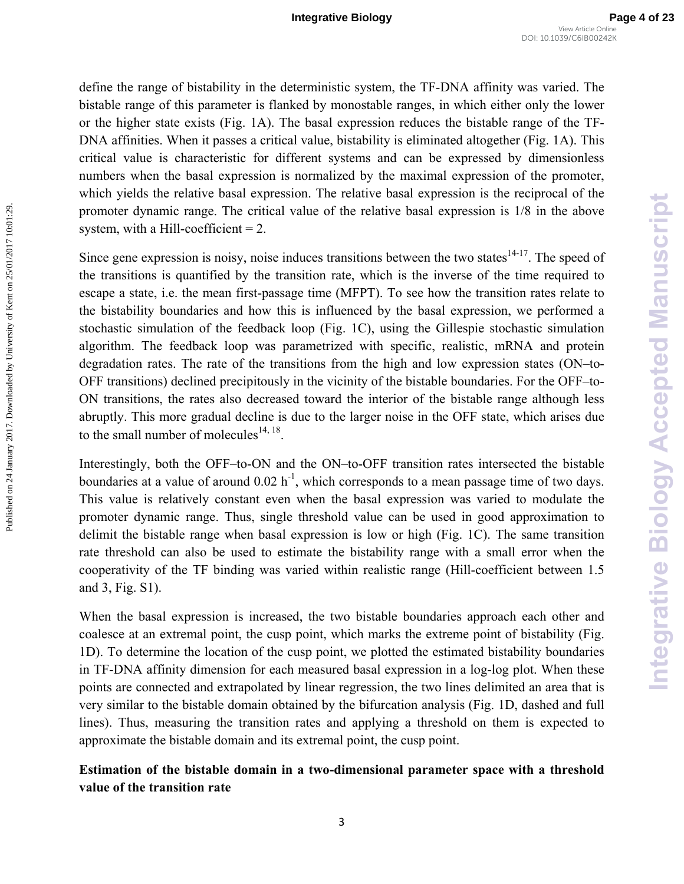define the range of bistability in the deterministic system, the TF-DNA affinity was varied. The bistable range of this parameter is flanked by monostable ranges, in which either only the lower or the higher state exists (Fig. 1A). The basal expression reduces the bistable range of the TF-DNA affinities. When it passes a critical value, bistability is eliminated altogether (Fig. 1A). This critical value is characteristic for different systems and can be expressed by dimensionless numbers when the basal expression is normalized by the maximal expression of the promoter, which yields the relative basal expression. The relative basal expression is the reciprocal of the promoter dynamic range. The critical value of the relative basal expression is 1/8 in the above system, with a Hill-coefficient  $= 2$ .

Since gene expression is noisy, noise induces transitions between the two states $14-17$ . The speed of the transitions is quantified by the transition rate, which is the inverse of the time required to escape a state, i.e. the mean first-passage time (MFPT). To see how the transition rates relate to the bistability boundaries and how this is influenced by the basal expression, we performed a stochastic simulation of the feedback loop (Fig. 1C), using the Gillespie stochastic simulation algorithm. The feedback loop was parametrized with specific, realistic, mRNA and protein degradation rates. The rate of the transitions from the high and low expression states  $(ON-to-$ OFF transitions) declined precipitously in the vicinity of the bistable boundaries. For the OFF-to-ON transitions, the rates also decreased toward the interior of the bistable range although less abruptly. This more gradual decline is due to the larger noise in the OFF state, which arises due to the small number of molecules<sup>[14,](#page-14-4) [18](#page-14-5)</sup>.

Published on 24 January 2017. Downloaded by University of Kent on 25/01/2017 10:01:29.

Published on 24 January 2017. Downloaded by University of Kent on 25/01/2017 10:01:29.

Interestingly, both the OFF-to-ON and the ON-to-OFF transition rates intersected the bistable boundaries at a value of around  $0.02 \text{ h}^{-1}$ , which corresponds to a mean passage time of two days. This value is relatively constant even when the basal expression was varied to modulate the promoter dynamic range. Thus, single threshold value can be used in good approximation to delimit the bistable range when basal expression is low or high (Fig. 1C). The same transition rate threshold can also be used to estimate the bistability range with a small error when the cooperativity of the TF binding was varied within realistic range (Hill-coefficient between 1.5 and 3, Fig. S1).

When the basal expression is increased, the two bistable boundaries approach each other and coalesce at an extremal point, the cusp point, which marks the extreme point of bistability (Fig. 1D). To determine the location of the cusp point, we plotted the estimated bistability boundaries in TF-DNA affinity dimension for each measured basal expression in a log-log plot. When these points are connected and extrapolated by linear regression, the two lines delimited an area that is very similar to the bistable domain obtained by the bifurcation analysis (Fig. 1D, dashed and full lines). Thus, measuring the transition rates and applying a threshold on them is expected to approximate the bistable domain and its extremal point, the cusp point.

**Estimation of the bistable domain in a two-dimensional parameter space with a threshold value of the transition rate**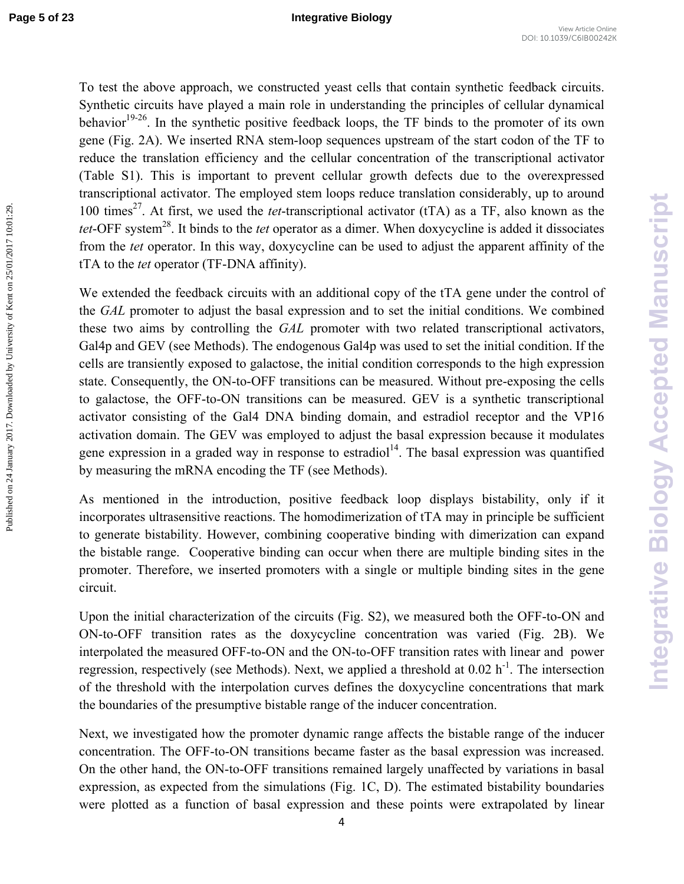#### **Page 5 of 23 Integrative Biology**

To test the above approach, we constructed yeast cells that contain synthetic feedback circuits. Synthetic circuits have played a main role in understanding the principles of cellular dynamical behavior<sup>[19-26](#page-14-6)</sup>. In the synthetic positive feedback loops, the TF binds to the promoter of its own gene (Fig. 2A). We inserted RNA stem-loop sequences upstream of the start codon of the TF to reduce the translation efficiency and the cellular concentration of the transcriptional activator (Table S1). This is important to prevent cellular growth defects due to the overexpressed transcriptional activator. The employed stem loops reduce translation considerably, up to around 100 times<sup>[27](#page-15-0)</sup>. At first, we used the *tet*-transcriptional activator (tTA) as a TF, also known as the *tet*-OFF system<sup>[28](#page-15-1)</sup>. It binds to the *tet* operator as a dimer. When doxycycline is added it dissociates from the *tet* operator. In this way, doxycycline can be used to adjust the apparent affinity of the tTA to the *tet* operator (TF-DNA affinity).

We extended the feedback circuits with an additional copy of the tTA gene under the control of the *GAL* promoter to adjust the basal expression and to set the initial conditions. We combined these two aims by controlling the *GAL* promoter with two related transcriptional activators, Gal4p and GEV (see Methods). The endogenous Gal4p was used to set the initial condition. If the cells are transiently exposed to galactose, the initial condition corresponds to the high expression state. Consequently, the ON-to-OFF transitions can be measured. Without pre-exposing the cells to galactose, the OFF-to-ON transitions can be measured. GEV is a synthetic transcriptional activator consisting of the Gal4 DNA binding domain, and estradiol receptor and the VP16 activation domain. The GEV was employed to adjust the basal expression because it modulates gene expression in a graded way in response to estradiol<sup>[14](#page-14-4)</sup>. The basal expression was quantified by measuring the mRNA encoding the TF (see Methods).

As mentioned in the introduction, positive feedback loop displays bistability, only if it incorporates ultrasensitive reactions. The homodimerization of tTA may in principle be sufficient to generate bistability. However, combining cooperative binding with dimerization can expand the bistable range. Cooperative binding can occur when there are multiple binding sites in the promoter. Therefore, we inserted promoters with a single or multiple binding sites in the gene circuit.

Upon the initial characterization of the circuits (Fig. S2), we measured both the OFF-to-ON and ON-to-OFF transition rates as the doxycycline concentration was varied (Fig. 2B). We interpolated the measured OFF-to-ON and the ON-to-OFF transition rates with linear and power regression, respectively (see Methods). Next, we applied a threshold at  $0.02 \text{ h}^{-1}$ . The intersection of the threshold with the interpolation curves defines the doxycycline concentrations that mark the boundaries of the presumptive bistable range of the inducer concentration.

Next, we investigated how the promoter dynamic range affects the bistable range of the inducer concentration. The OFF-to-ON transitions became faster as the basal expression was increased. On the other hand, the ON-to-OFF transitions remained largely unaffected by variations in basal expression, as expected from the simulations (Fig. 1C, D). The estimated bistability boundaries were plotted as a function of basal expression and these points were extrapolated by linear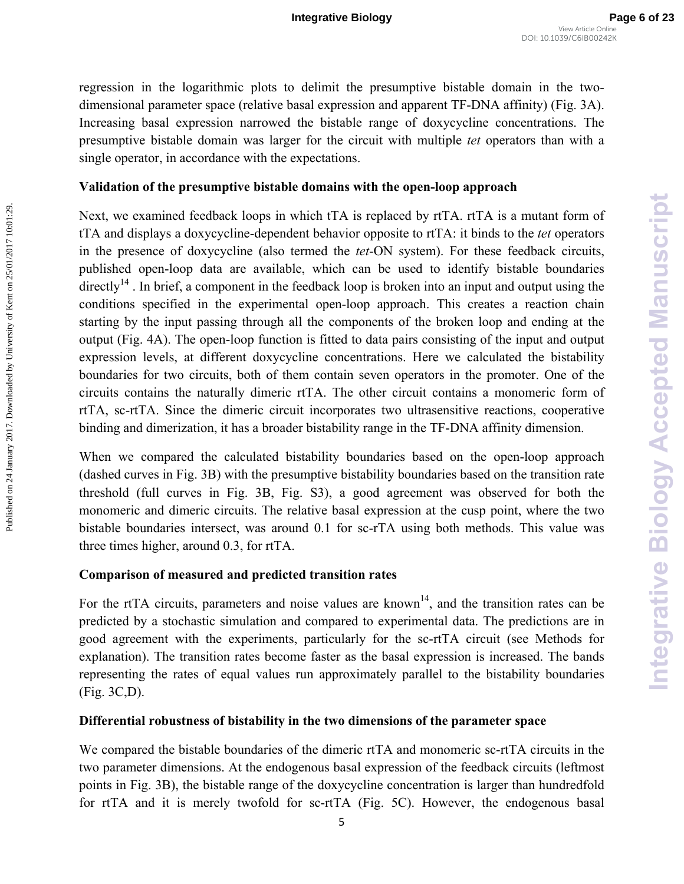regression in the logarithmic plots to delimit the presumptive bistable domain in the twodimensional parameter space (relative basal expression and apparent TF-DNA affinity) (Fig. 3A). Increasing basal expression narrowed the bistable range of doxycycline concentrations. The presumptive bistable domain was larger for the circuit with multiple *tet* operators than with a single operator, in accordance with the expectations.

#### **Validation of the presumptive bistable domains with the open-loop approach**

Next, we examined feedback loops in which tTA is replaced by rtTA. rtTA is a mutant form of tTA and displays a doxycycline-dependent behavior opposite to rtTA: it binds to the *tet* operators in the presence of doxycycline (also termed the *tet*-ON system). For these feedback circuits, published open-loop data are available, which can be used to identify bistable boundaries directly<sup>[14](#page-14-4)</sup>. In brief, a component in the feedback loop is broken into an input and output using the conditions specified in the experimental open-loop approach. This creates a reaction chain starting by the input passing through all the components of the broken loop and ending at the output (Fig. 4A). The open-loop function is fitted to data pairs consisting of the input and output expression levels, at different doxycycline concentrations. Here we calculated the bistability boundaries for two circuits, both of them contain seven operators in the promoter. One of the circuits contains the naturally dimeric rtTA. The other circuit contains a monomeric form of rtTA, sc-rtTA. Since the dimeric circuit incorporates two ultrasensitive reactions, cooperative binding and dimerization, it has a broader bistability range in the TF-DNA affinity dimension.

When we compared the calculated bistability boundaries based on the open-loop approach (dashed curves in Fig. 3B) with the presumptive bistability boundaries based on the transition rate threshold (full curves in Fig. 3B, Fig. S3), a good agreement was observed for both the monomeric and dimeric circuits. The relative basal expression at the cusp point, where the two bistable boundaries intersect, was around 0.1 for sc-rTA using both methods. This value was three times higher, around 0.3, for rtTA.

#### **Comparison of measured and predicted transition rates**

For the rtTA circuits, parameters and noise values are known<sup>[14](#page-14-4)</sup>, and the transition rates can be predicted by a stochastic simulation and compared to experimental data. The predictions are in good agreement with the experiments, particularly for the sc-rtTA circuit (see Methods for explanation). The transition rates become faster as the basal expression is increased. The bands representing the rates of equal values run approximately parallel to the bistability boundaries (Fig. 3C,D).

#### **Differential robustness of bistability in the two dimensions of the parameter space**

We compared the bistable boundaries of the dimeric rtTA and monomeric sc-rtTA circuits in the two parameter dimensions. At the endogenous basal expression of the feedback circuits (leftmost points in Fig. 3B), the bistable range of the doxycycline concentration is larger than hundredfold for rtTA and it is merely twofold for sc-rtTA (Fig. 5C). However, the endogenous basal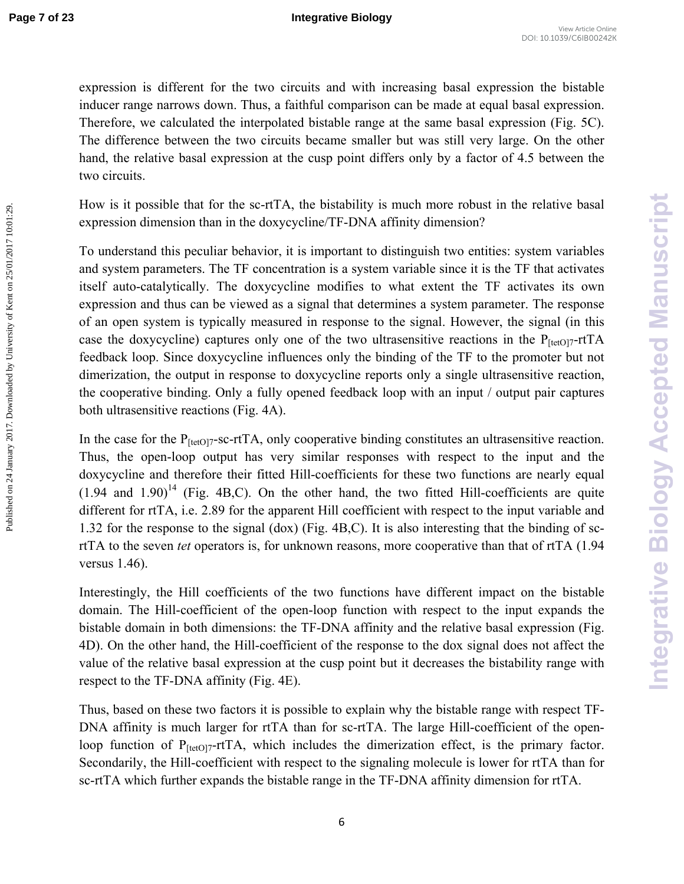Published on 24 January 2017. Downloaded by University of Kent on 25/01/2017 10:01:29.

Published on 24 January 2017. Downloaded by University of Kent on 25/01/2017 10:01:29.

expression is different for the two circuits and with increasing basal expression the bistable inducer range narrows down. Thus, a faithful comparison can be made at equal basal expression. Therefore, we calculated the interpolated bistable range at the same basal expression (Fig. 5C). The difference between the two circuits became smaller but was still very large. On the other hand, the relative basal expression at the cusp point differs only by a factor of 4.5 between the two circuits.

How is it possible that for the sc-rtTA, the bistability is much more robust in the relative basal expression dimension than in the doxycycline/TF-DNA affinity dimension?

To understand this peculiar behavior, it is important to distinguish two entities: system variables and system parameters. The TF concentration is a system variable since it is the TF that activates itself auto-catalytically. The doxycycline modifies to what extent the TF activates its own expression and thus can be viewed as a signal that determines a system parameter. The response of an open system is typically measured in response to the signal. However, the signal (in this case the doxycycline) captures only one of the two ultrasensitive reactions in the  $P_{[tetO]7}$ -rtTA feedback loop. Since doxycycline influences only the binding of the TF to the promoter but not dimerization, the output in response to doxycycline reports only a single ultrasensitive reaction, the cooperative binding. Only a fully opened feedback loop with an input / output pair captures both ultrasensitive reactions (Fig. 4A).

In the case for the  $P_{[tetO]7}$ -sc-rtTA, only cooperative binding constitutes an ultrasensitive reaction. Thus, the open-loop output has very similar responses with respect to the input and the doxycycline and therefore their fitted Hill-coefficients for these two functions are nearly equal  $(1.94$  and  $1.90)^{14}$  $1.90)^{14}$  $1.90)^{14}$  (Fig. 4B,C). On the other hand, the two fitted Hill-coefficients are quite different for rtTA, i.e. 2.89 for the apparent Hill coefficient with respect to the input variable and 1.32 for the response to the signal (dox) (Fig. 4B,C). It is also interesting that the binding of scrtTA to the seven *tet* operators is, for unknown reasons, more cooperative than that of rtTA (1.94 versus 1.46).

Interestingly, the Hill coefficients of the two functions have different impact on the bistable domain. The Hill-coefficient of the open-loop function with respect to the input expands the bistable domain in both dimensions: the TF-DNA affinity and the relative basal expression (Fig. 4D). On the other hand, the Hill-coefficient of the response to the dox signal does not affect the value of the relative basal expression at the cusp point but it decreases the bistability range with respect to the TF-DNA affinity (Fig. 4E).

Thus, based on these two factors it is possible to explain why the bistable range with respect TF-DNA affinity is much larger for rtTA than for sc-rtTA. The large Hill-coefficient of the openloop function of  $P_{[tetO]7}$ -rtTA, which includes the dimerization effect, is the primary factor. Secondarily, the Hill-coefficient with respect to the signaling molecule is lower for rtTA than for sc-rtTA which further expands the bistable range in the TF-DNA affinity dimension for rtTA.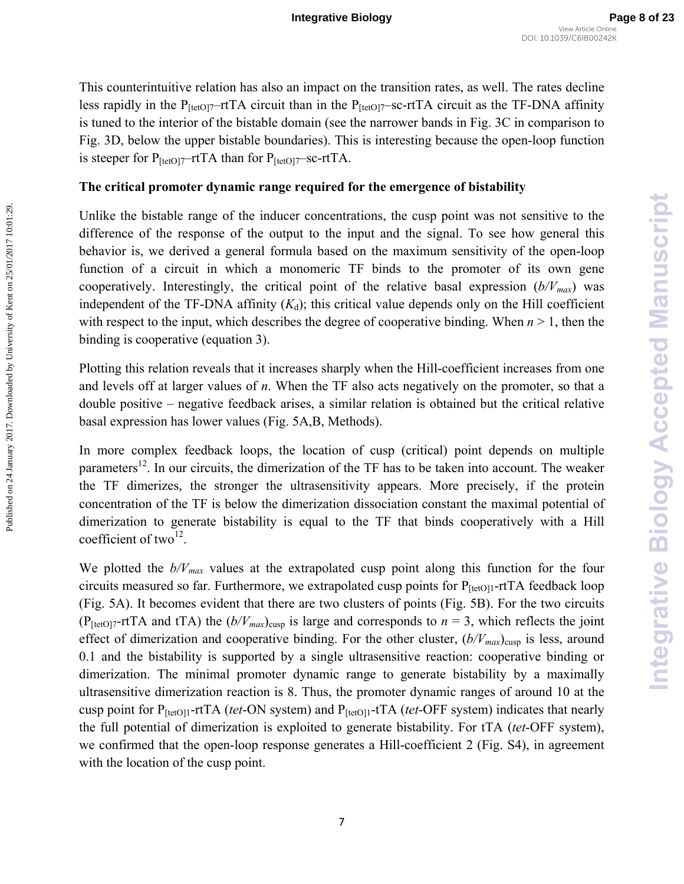This counterintuitive relation has also an impact on the transition rates, as well. The rates decline less rapidly in the P<sub>[tetO]7</sub>-rtTA circuit than in the P<sub>[tetO]7</sub>-sc-rtTA circuit as the TF-DNA affinity is tuned to the interior of the bistable domain (see the narrower bands in Fig. 3C in comparison to Fig. 3D, below the upper bistable boundaries). This is interesting because the open-loop function is steeper for  $P_{[tetO]7}$ -rtTA than for  $P_{[tetO]7}$ -sc-rtTA.

#### **The critical promoter dynamic range required for the emergence of bistability**

Unlike the bistable range of the inducer concentrations, the cusp point was not sensitive to the difference of the response of the output to the input and the signal. To see how general this behavior is, we derived a general formula based on the maximum sensitivity of the open-loop function of a circuit in which a monomeric TF binds to the promoter of its own gene cooperatively. Interestingly, the critical point of the relative basal expression  $(b/V_{max})$  was independent of the TF-DNA affinity  $(K_d)$ ; this critical value depends only on the Hill coefficient with respect to the input, which describes the degree of cooperative binding. When *n* > 1, then the binding is cooperative (equation 3).

Plotting this relation reveals that it increases sharply when the Hill-coefficient increases from one and levels off at larger values of *n*. When the TF also acts negatively on the promoter, so that a double positive – negative feedback arises, a similar relation is obtained but the critical relative basal expression has lower values (Fig. 5A,B, Methods).

In more complex feedback loops, the location of cusp (critical) point depends on multiple parameters<sup>[12](#page-14-2)</sup>. In our circuits, the dimerization of the TF has to be taken into account. The weaker the TF dimerizes, the stronger the ultrasensitivity appears. More precisely, if the protein concentration of the TF is below the dimerization dissociation constant the maximal potential of dimerization to generate bistability is equal to the TF that binds cooperatively with a Hill coefficient of two $^{12}$  $^{12}$  $^{12}$ .

We plotted the  $b/V_{max}$  values at the extrapolated cusp point along this function for the four circuits measured so far. Furthermore, we extrapolated cusp points for  $P_{[tetO]1}$ -rtTA feedback loop (Fig. 5A). It becomes evident that there are two clusters of points (Fig. 5B). For the two circuits (P<sub>[tetO]7</sub>-rtTA and tTA) the  $(b/V_{max})_{cusp}$  is large and corresponds to  $n = 3$ , which reflects the joint effect of dimerization and cooperative binding. For the other cluster,  $(b/V_{max})_{cusp}$  is less, around 0.1 and the bistability is supported by a single ultrasensitive reaction: cooperative binding or dimerization. The minimal promoter dynamic range to generate bistability by a maximally ultrasensitive dimerization reaction is 8. Thus, the promoter dynamic ranges of around 10 at the cusp point for P[tetO]1-rtTA (*tet*-ON system) and P[tetO]1-tTA (*tet*-OFF system) indicates that nearly the full potential of dimerization is exploited to generate bistability. For tTA (*tet*-OFF system), we confirmed that the open-loop response generates a Hill-coefficient 2 (Fig. S4), in agreement with the location of the cusp point.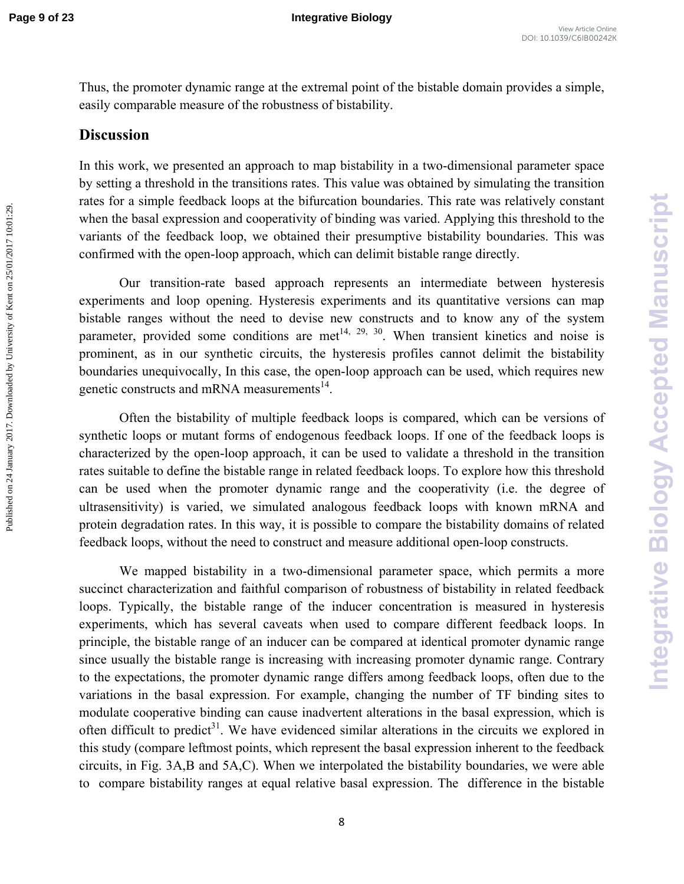Thus, the promoter dynamic range at the extremal point of the bistable domain provides a simple, easily comparable measure of the robustness of bistability.

#### **Discussion**

In this work, we presented an approach to map bistability in a two-dimensional parameter space by setting a threshold in the transitions rates. This value was obtained by simulating the transition rates for a simple feedback loops at the bifurcation boundaries. This rate was relatively constant when the basal expression and cooperativity of binding was varied. Applying this threshold to the variants of the feedback loop, we obtained their presumptive bistability boundaries. This was confirmed with the open-loop approach, which can delimit bistable range directly.

Our transition-rate based approach represents an intermediate between hysteresis experiments and loop opening. Hysteresis experiments and its quantitative versions can map bistable ranges without the need to devise new constructs and to know any of the system parameter, provided some conditions are met<sup>[14,](#page-14-4) [29,](#page-15-2) [30](#page-15-3)</sup>. When transient kinetics and noise is prominent, as in our synthetic circuits, the hysteresis profiles cannot delimit the bistability boundaries unequivocally, In this case, the open-loop approach can be used, which requires new genetic constructs and mRNA measurements<sup>[14](#page-14-4)</sup>.

Often the bistability of multiple feedback loops is compared, which can be versions of synthetic loops or mutant forms of endogenous feedback loops. If one of the feedback loops is characterized by the open-loop approach, it can be used to validate a threshold in the transition rates suitable to define the bistable range in related feedback loops. To explore how this threshold can be used when the promoter dynamic range and the cooperativity (i.e. the degree of ultrasensitivity) is varied, we simulated analogous feedback loops with known mRNA and protein degradation rates. In this way, it is possible to compare the bistability domains of related feedback loops, without the need to construct and measure additional open-loop constructs.

We mapped bistability in a two-dimensional parameter space, which permits a more succinct characterization and faithful comparison of robustness of bistability in related feedback loops. Typically, the bistable range of the inducer concentration is measured in hysteresis experiments, which has several caveats when used to compare different feedback loops. In principle, the bistable range of an inducer can be compared at identical promoter dynamic range since usually the bistable range is increasing with increasing promoter dynamic range. Contrary to the expectations, the promoter dynamic range differs among feedback loops, often due to the variations in the basal expression. For example, changing the number of TF binding sites to modulate cooperative binding can cause inadvertent alterations in the basal expression, which is often difficult to predict<sup>[31](#page-15-4)</sup>. We have evidenced similar alterations in the circuits we explored in this study (compare leftmost points, which represent the basal expression inherent to the feedback circuits, in Fig. 3A,B and 5A,C). When we interpolated the bistability boundaries, we were able to compare bistability ranges at equal relative basal expression. The difference in the bistable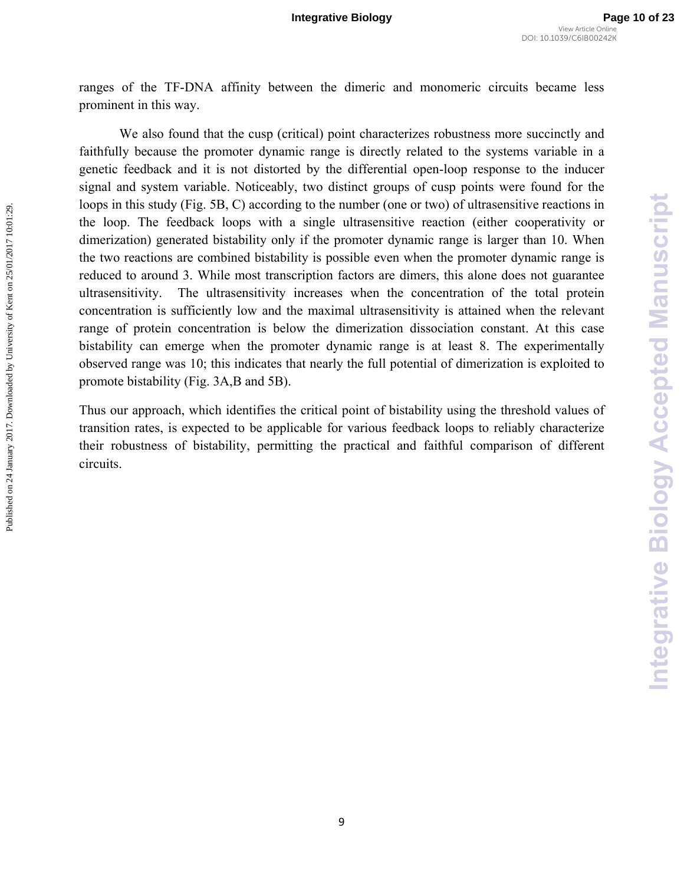ranges of the TF-DNA affinity between the dimeric and monomeric circuits became less prominent in this way.

We also found that the cusp (critical) point characterizes robustness more succinctly and faithfully because the promoter dynamic range is directly related to the systems variable in a genetic feedback and it is not distorted by the differential open-loop response to the inducer signal and system variable. Noticeably, two distinct groups of cusp points were found for the loops in this study (Fig. 5B, C) according to the number (one or two) of ultrasensitive reactions in the loop. The feedback loops with a single ultrasensitive reaction (either cooperativity or dimerization) generated bistability only if the promoter dynamic range is larger than 10. When the two reactions are combined bistability is possible even when the promoter dynamic range is reduced to around 3. While most transcription factors are dimers, this alone does not guarantee ultrasensitivity. The ultrasensitivity increases when the concentration of the total protein concentration is sufficiently low and the maximal ultrasensitivity is attained when the relevant range of protein concentration is below the dimerization dissociation constant. At this case bistability can emerge when the promoter dynamic range is at least 8. The experimentally observed range was 10; this indicates that nearly the full potential of dimerization is exploited to promote bistability (Fig. 3A,B and 5B).

Thus our approach, which identifies the critical point of bistability using the threshold values of transition rates, is expected to be applicable for various feedback loops to reliably characterize their robustness of bistability, permitting the practical and faithful comparison of different circuits.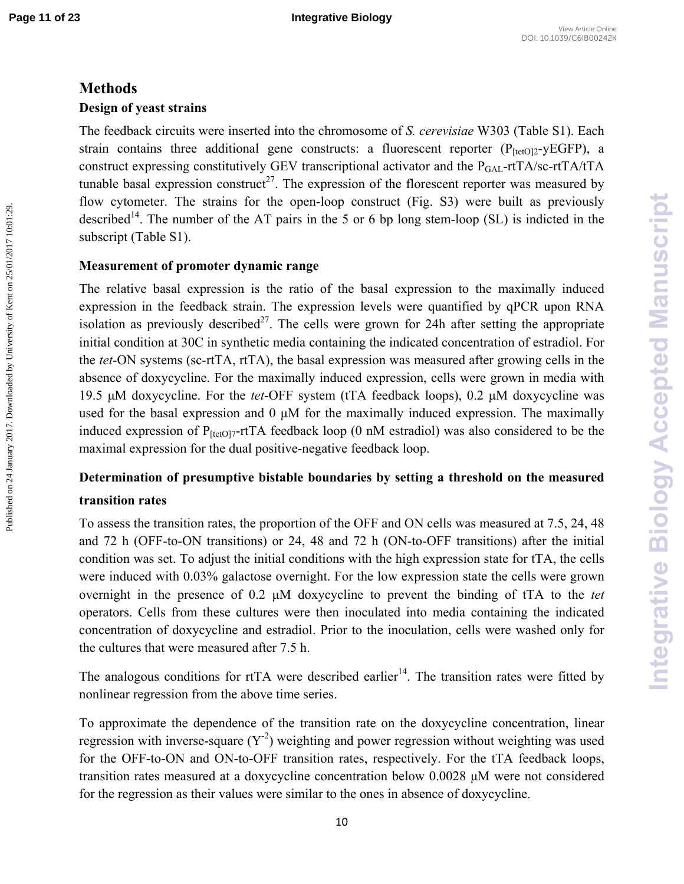## **Methods**

#### **Design of yeast strains**

The feedback circuits were inserted into the chromosome of *S. cerevisiae* W303 (Table S1). Each strain contains three additional gene constructs: a fluorescent reporter  $(P<sub>[tet0]2</sub>-yEGFP)$ , a construct expressing constitutively GEV transcriptional activator and the  $P_{GAT}$ -rtTA/sc-rtTA/tTA tunable basal expression construct<sup>[27](#page-15-0)</sup>. The expression of the florescent reporter was measured by flow cytometer. The strains for the open-loop construct (Fig. S3) were built as previously described<sup>[14](#page-14-4)</sup>. The number of the AT pairs in the 5 or 6 bp long stem-loop (SL) is indicted in the subscript (Table S1).

#### **Measurement of promoter dynamic range**

The relative basal expression is the ratio of the basal expression to the maximally induced expression in the feedback strain. The expression levels were quantified by qPCR upon RNA isolation as previously described<sup>[27](#page-15-0)</sup>. The cells were grown for 24h after setting the appropriate initial condition at 30C in synthetic media containing the indicated concentration of estradiol. For the *tet*-ON systems (sc-rtTA, rtTA), the basal expression was measured after growing cells in the absence of doxycycline. For the maximally induced expression, cells were grown in media with 19.5 μM doxycycline. For the *tet*-OFF system (tTA feedback loops), 0.2 μM doxycycline was used for the basal expression and  $0 \mu M$  for the maximally induced expression. The maximally induced expression of  $P_{[tetO]}$ -rtTA feedback loop (0 nM estradiol) was also considered to be the maximal expression for the dual positive-negative feedback loop.

#### **Determination of presumptive bistable boundaries by setting a threshold on the measured**

#### **transition rates**

To assess the transition rates, the proportion of the OFF and ON cells was measured at 7.5, 24, 48 and 72 h (OFF-to-ON transitions) or 24, 48 and 72 h (ON-to-OFF transitions) after the initial condition was set. To adjust the initial conditions with the high expression state for tTA, the cells were induced with 0.03% galactose overnight. For the low expression state the cells were grown overnight in the presence of 0.2  $\mu$ M doxycycline to prevent the binding of tTA to the *tet* operators. Cells from these cultures were then inoculated into media containing the indicated concentration of doxycycline and estradiol. Prior to the inoculation, cells were washed only for the cultures that were measured after 7.5 h.

The analogous conditions for rtTA were described earlier<sup>[14](#page-14-4)</sup>. The transition rates were fitted by nonlinear regression from the above time series.

To approximate the dependence of the transition rate on the doxycycline concentration, linear regression with inverse-square  $(Y^{-2})$  weighting and power regression without weighting was used for the OFF-to-ON and ON-to-OFF transition rates, respectively. For the tTA feedback loops, transition rates measured at a doxycycline concentration below  $0.0028 \mu M$  were not considered for the regression as their values were similar to the ones in absence of doxycycline.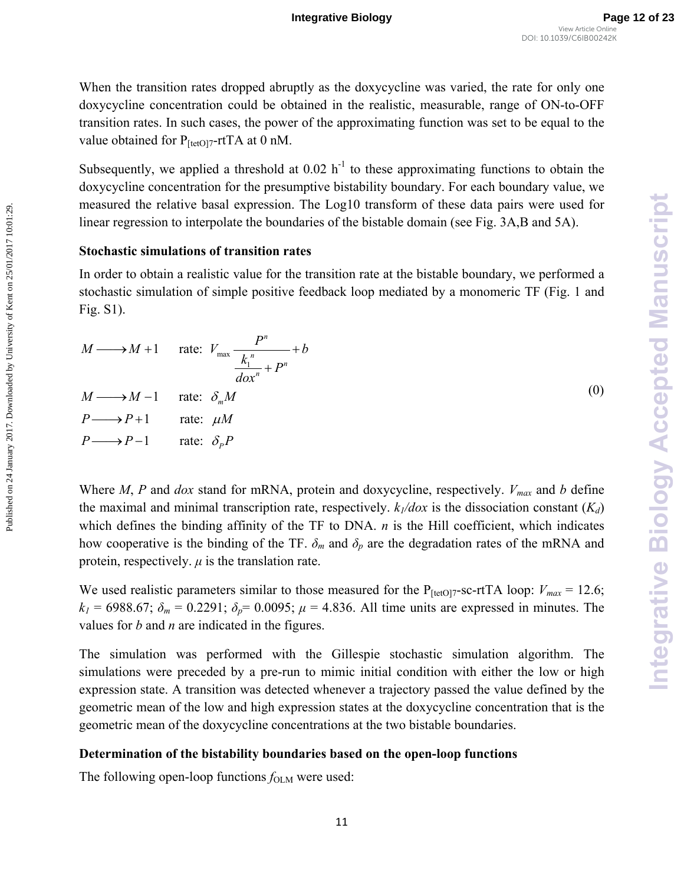When the transition rates dropped abruptly as the doxycycline was varied, the rate for only one doxycycline concentration could be obtained in the realistic, measurable, range of ON-to-OFF transition rates. In such cases, the power of the approximating function was set to be equal to the value obtained for  $P_{[tetO]7}$ -rtTA at 0 nM.

Subsequently, we applied a threshold at  $0.02$  h<sup>-1</sup> to these approximating functions to obtain the doxycycline concentration for the presumptive bistability boundary. For each boundary value, we measured the relative basal expression. The Log10 transform of these data pairs were used for linear regression to interpolate the boundaries of the bistable domain (see Fig. 3A,B and 5A).

#### **Stochastic simulations of transition rates**

Published on 24 January 2017. Downloaded by University of Kent on 25/01/2017 10:01:29.

Published on 24 January 2017. Downloaded by University of Kent on 25/01/2017 10:01:29.

In order to obtain a realistic value for the transition rate at the bistable boundary, we performed a stochastic simulation of simple positive feedback loop mediated by a monomeric TF (Fig. 1 and Fig. S1).

|                                             | $\therefore A \longrightarrow M + 1$ rate: $V_{\text{max}} \frac{F}{\frac{k_1^n}{d \alpha x^n} + P^n} + b$ | $\left( 0\right)$ |
|---------------------------------------------|------------------------------------------------------------------------------------------------------------|-------------------|
| $M \longrightarrow M-1$ rate: $\delta_m M$  |                                                                                                            |                   |
| $P \longrightarrow P+1$ rate: $\mu M$       |                                                                                                            |                   |
| $P \longrightarrow P-1$ rate: $\delta_{P}P$ |                                                                                                            |                   |

Where *M*, *P* and *dox* stand for mRNA, protein and doxycycline, respectively. *Vmax* and *b* define the maximal and minimal transcription rate, respectively.  $k_1/d\alpha x$  is the dissociation constant  $(K_d)$ which defines the binding affinity of the TF to DNA. *n* is the Hill coefficient, which indicates how cooperative is the binding of the TF.  $\delta_m$  and  $\delta_p$  are the degradation rates of the mRNA and protein, respectively.  $\mu$  is the translation rate.

We used realistic parameters similar to those measured for the  $P_{[tetO]7}$ -sc-rtTA loop:  $V_{max} = 12.6$ ;  $k_1 = 6988.67$ ;  $\delta_m = 0.2291$ ;  $\delta_p = 0.0095$ ;  $\mu = 4.836$ . All time units are expressed in minutes. The values for *b* and *n* are indicated in the figures.

The simulation was performed with the Gillespie stochastic simulation algorithm. The simulations were preceded by a pre-run to mimic initial condition with either the low or high expression state. A transition was detected whenever a trajectory passed the value defined by the geometric mean of the low and high expression states at the doxycycline concentration that is the geometric mean of the doxycycline concentrations at the two bistable boundaries.

#### **Determination of the bistability boundaries based on the open-loop functions**

The following open-loop functions  $f_{OLM}$  were used: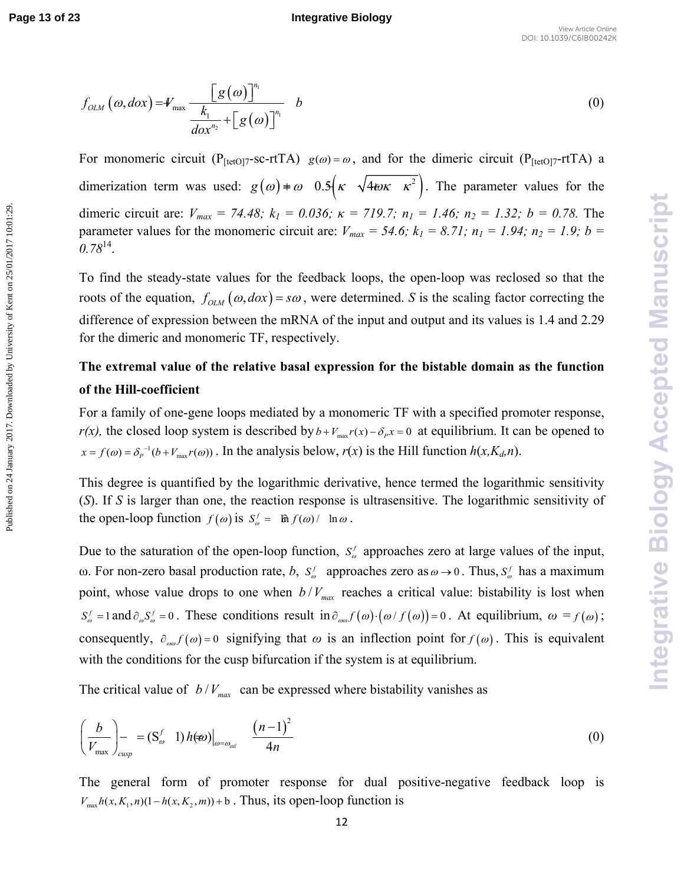Published on 24 January 2017. Downloaded by University of Kent on 25/01/2017 10:01:29.

Published on 24 January 2017. Downloaded by University of Kent on 25/01/2017 10:01:29

$$
f_{OLM}\left(\omega, d\omega\right) = V_{\max} \frac{\left[g\left(\omega\right)\right]^{n_1}}{\frac{k_1}{d\omega^{n_2}} + \left[g\left(\omega\right)\right]^{n_1}} \quad b
$$
\n
$$
(0)
$$

For monomeric circuit (P<sub>[tetO]7</sub>-sc-rtTA)  $g(\omega) = \omega$ , and for the dimeric circuit (P<sub>[tetO]7</sub>-rtTA) a dimerization term was used:  $g(\omega) \neq \omega$  0.5  $\left(\kappa \sqrt{4\omega\kappa \kappa^2}\right)$ . The parameter values for the dimeric circuit are:  $V_{max} = 74.48$ ;  $k_l = 0.036$ ;  $\kappa = 719.7$ ;  $n_l = 1.46$ ;  $n_2 = 1.32$ ;  $b = 0.78$ . The parameter values for the monomeric circuit are:  $V_{max} = 54.6$ ;  $k_l = 8.71$ ;  $n_l = 1.94$ ;  $n_2 = 1.9$ ;  $b =$  $0.78^{14}$  $0.78^{14}$  $0.78^{14}$ .

To find the steady-state values for the feedback loops, the open-loop was reclosed so that the roots of the equation,  $f_{OLM}(\omega, d\omega) = s\omega$ , were determined. *S* is the scaling factor correcting the difference of expression between the mRNA of the input and output and its values is 1.4 and 2.29 for the dimeric and monomeric TF, respectively.

### **The extremal value of the relative basal expression for the bistable domain as the function of the Hill-coefficient**

For a family of one-gene loops mediated by a monomeric TF with a specified promoter response, *r(x)*, the closed loop system is described by  $b + V_{\text{max}} r(x) - \delta_p x = 0$  at equilibrium. It can be opened to  $x = f(\omega) = \delta_P^{-1}(b + V_{\text{max}}r(\omega))$ . In the analysis below,  $r(x)$  is the Hill function  $h(x, K_d, n)$ .

<span id="page-14-0"></span>This degree is quantified by the logarithmic derivative, hence termed the logarithmic sensitivity (*S*). If *S* is larger than one, the reaction response is ultrasensitive. The logarithmic sensitivity of the open-loop function  $f(\omega)$  is  $S_{\omega}^f = \ln f(\omega) / \ln \omega$ .

Due to the saturation of the open-loop function,  $S_{\phi}$  approaches zero at large values of the input,  $ω$ . For non-zero basal production rate, *b*, *S*<sup>0</sup> approaches zero as  $ω → 0$ . Thus, *S*<sup>0</sup> has a maximum point, whose value drops to one when  $b/V_{max}$  reaches a critical value: bistability is lost when  $S_{\omega}^{f} = 1$  and  $\partial_{\omega} S_{\omega}^{f} = 0$ . These conditions result in  $\partial_{\omega} f(\omega) \cdot (\omega / f(\omega)) = 0$ . At equilibrium,  $\omega = f(\omega)$ ; consequently,  $\partial_{\omega} f(\omega) = 0$  signifying that  $\omega$  is an inflection point for  $f(\omega)$ . This is equivalent with the conditions for the cusp bifurcation if the system is at equilibrium.

<span id="page-14-4"></span><span id="page-14-3"></span><span id="page-14-2"></span><span id="page-14-1"></span>The critical value of  $b/V_{max}$  can be expressed where bistability vanishes as

$$
\left(\frac{b}{V_{\text{max}}}\right)_{\text{cusp}} = \left(\mathbf{S}_{\omega}^f \quad 1\right) h(\omega)\Big|_{\omega = \omega_{\text{inf}}} \quad \frac{\left(n-1\right)^2}{4n} \tag{0}
$$

<span id="page-14-6"></span><span id="page-14-5"></span>The general form of promoter response for dual positive-negative feedback loop is  $V_{\text{max}} h(x, K_1, n)(1 - h(x, K_2, m)) + b$ . Thus, its open-loop function is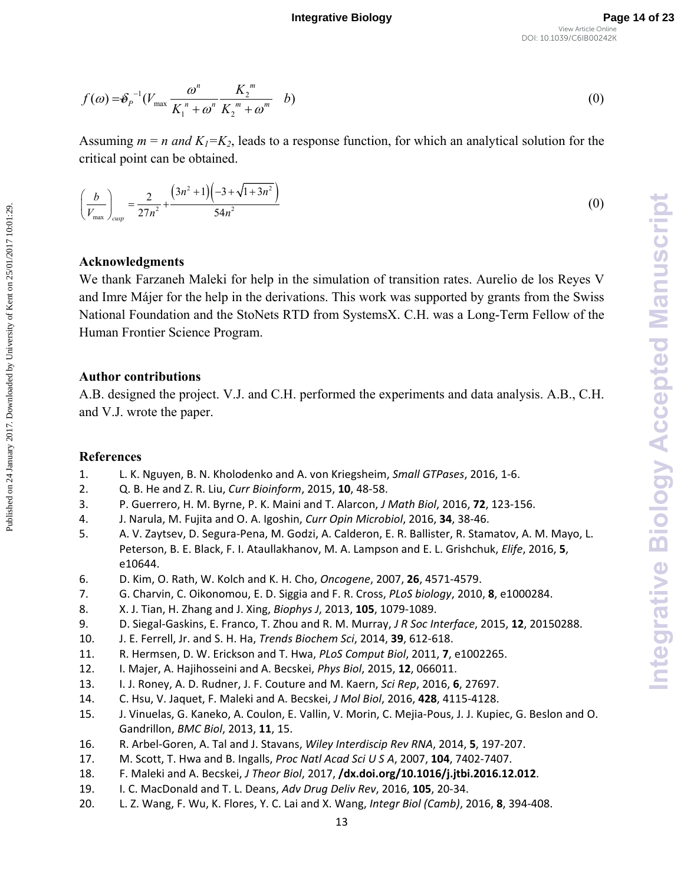$$
f(\omega) = \delta_p^{-1} (V_{\max} \frac{\omega^n}{K_1^n + \omega^n} \frac{K_2^m}{K_2^m + \omega^m} b)
$$
 (0)

Assuming  $m = n$  and  $K_1 = K_2$ , leads to a response function, for which an analytical solution for the critical point can be obtained.

<span id="page-15-2"></span><span id="page-15-1"></span><span id="page-15-0"></span>
$$
\left(\frac{b}{V_{\text{max}}}\right)_{\text{cusp}} = \frac{2}{27n^2} + \frac{\left(3n^2 + 1\right)\left(-3 + \sqrt{1 + 3n^2}\right)}{54n^2} \tag{0}
$$

#### <span id="page-15-4"></span><span id="page-15-3"></span>**Acknowledgments**

We thank Farzaneh Maleki for help in the simulation of transition rates. Aurelio de los Reyes V and Imre Majer for the help in the derivations. This work was supported by grants from the Swiss National Foundation and the StoNets RTD from SystemsX. C.H. was a Long-Term Fellow of the Human Frontier Science Program.

#### **Author contributions**

A.B. designed the project. V.J. and C.H. performed the experiments and data analysis. A.B., C.H. and V.J. wrote the paper.

#### **References**

Published on 24 January 2017. Downloaded by University of Kent on 25/01/2017 10:01:29.

Published on 24 January 2017. Downloaded by University of Kent on 25/01/2017 10:01:29.

- 1. L. K. Nguyen, B. N. Kholodenko and A. von Kriegsheim, *Small GTPases*, 2016, 1-6.
- 2. Q. B. He and Z. R. Liu, *Curr Bioinform*, 2015, **10**, 48-58.
- 3. P. Guerrero, H. M. Byrne, P. K. Maini and T. Alarcon, *J Math Biol*, 2016, **72**, 123-156.
- 4. J. Narula, M. Fujita and O. A. Igoshin, *Curr Opin Microbiol*, 2016, **34**, 38-46.
- 5. A. V. Zaytsev, D. Segura-Pena, M. Godzi, A. Calderon, E. R. Ballister, R. Stamatov, A. M. Mayo, L. Peterson, B. E. Black, F. I. Ataullakhanov, M. A. Lampson and E. L. Grishchuk, *Elife*, 2016, **5**, e10644.
- 6. D. Kim, O. Rath, W. Kolch and K. H. Cho, *Oncogene*, 2007, **26**, 4571-4579.
- 7. G. Charvin, C. Oikonomou, E. D. Siggia and F. R. Cross, *PLoS biology*, 2010, **8**, e1000284.
- 8. X. J. Tian, H. Zhang and J. Xing, *Biophys J*, 2013, **105**, 1079-1089.
- 9. D. Siegal-Gaskins, E. Franco, T. Zhou and R. M. Murray, *J R Soc Interface*, 2015, **12**, 20150288.
- 10. J. E. Ferrell, Jr. and S. H. Ha, *Trends Biochem Sci*, 2014, **39**, 612-618.
- 11. R. Hermsen, D. W. Erickson and T. Hwa, *PLoS Comput Biol*, 2011, **7**, e1002265.
- 12. I. Majer, A. Hajihosseini and A. Becskei, *Phys Biol*, 2015, **12**, 066011.
- 13. I. J. Roney, A. D. Rudner, J. F. Couture and M. Kaern, *Sci Rep*, 2016, **6**, 27697.
- 14. C. Hsu, V. Jaquet, F. Maleki and A. Becskei, *J Mol Biol*, 2016, **428**, 4115-4128.
- 15. J. Vinuelas, G. Kaneko, A. Coulon, E. Vallin, V. Morin, C. Mejia-Pous, J. J. Kupiec, G. Beslon and O. Gandrillon, *BMC Biol*, 2013, **11**, 15.
- 16. R. Arbel-Goren, A. Tal and J. Stavans, *Wiley Interdiscip Rev RNA*, 2014, **5**, 197-207.
- 17. M. Scott, T. Hwa and B. Ingalls, *Proc Natl Acad Sci U S A*, 2007, **104**, 7402-7407.
- 18. F. Maleki and A. Becskei, *J Theor Biol*, 2017, **/dx.doi.org/10.1016/j.jtbi.2016.12.012**.
- 19. I. C. MacDonald and T. L. Deans, *Adv Drug Deliv Rev*, 2016, **105**, 20-34.
- 20. L. Z. Wang, F. Wu, K. Flores, Y. C. Lai and X. Wang, *Integr Biol (Camb)*, 2016, **8**, 394-408.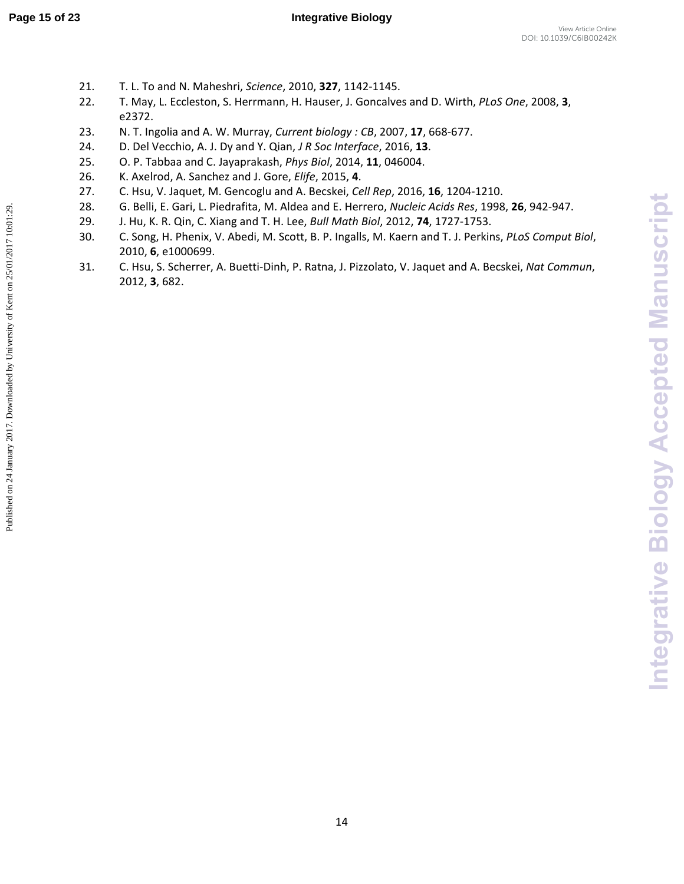Published on 24 January 2017. Downloaded by University of Kent on 25/01/2017 10:01:29.

Published on 24 January 2017. Downloaded by University of Kent on 25/01/2017 10:01:29.

- 21. T. L. To and N. Maheshri, *Science*, 2010, **327**, 1142-1145.
- 22. T. May, L. Eccleston, S. Herrmann, H. Hauser, J. Goncalves and D. Wirth, *PLoS One*, 2008, **3**, e2372.
- 23. N. T. Ingolia and A. W. Murray, *Current biology : CB*, 2007, **17**, 668-677.
- 24. D. Del Vecchio, A. J. Dy and Y. Qian, *J R Soc Interface*, 2016, **13**.
- 25. O. P. Tabbaa and C. Jayaprakash, *Phys Biol*, 2014, **11**, 046004.
- 26. K. Axelrod, A. Sanchez and J. Gore, *Elife*, 2015, **4**.
- 27. C. Hsu, V. Jaquet, M. Gencoglu and A. Becskei, *Cell Rep*, 2016, **16**, 1204-1210.
- 28. G. Belli, E. Gari, L. Piedrafita, M. Aldea and E. Herrero, *Nucleic Acids Res*, 1998, **26**, 942-947.
- 29. J. Hu, K. R. Qin, C. Xiang and T. H. Lee, *Bull Math Biol*, 2012, **74**, 1727-1753.
- 30. C. Song, H. Phenix, V. Abedi, M. Scott, B. P. Ingalls, M. Kaern and T. J. Perkins, *PLoS Comput Biol*, 2010, **6**, e1000699.
- 31. C. Hsu, S. Scherrer, A. Buetti-Dinh, P. Ratna, J. Pizzolato, V. Jaquet and A. Becskei, *Nat Commun*, 2012, **3**, 682.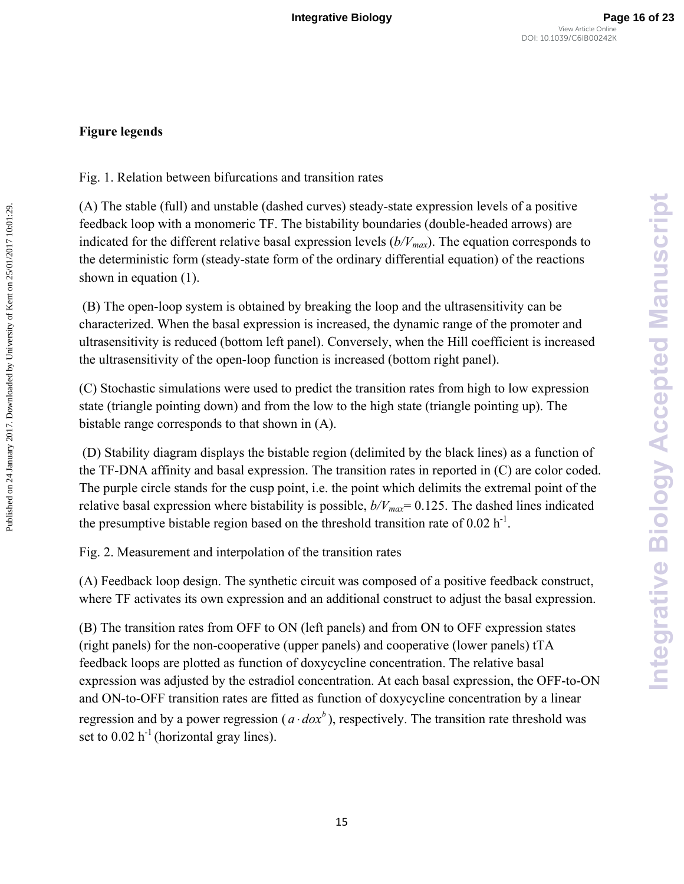#### **Figure legends**

Published on 24 January 2017. Downloaded by University of Kent on 25/01/2017 10:01:29.

Published on 24 January 2017. Downloaded by University of Kent on 25/01/2017 10:01:29.

Fig. 1. Relation between bifurcations and transition rates

(A) The stable (full) and unstable (dashed curves) steady-state expression levels of a positive feedback loop with a monomeric TF. The bistability boundaries (double-headed arrows) are indicated for the different relative basal expression levels (*b/Vmax*). The equation corresponds to the deterministic form (steady-state form of the ordinary differential equation) of the reactions shown in equation (1).

 (B) The open-loop system is obtained by breaking the loop and the ultrasensitivity can be characterized. When the basal expression is increased, the dynamic range of the promoter and ultrasensitivity is reduced (bottom left panel). Conversely, when the Hill coefficient is increased the ultrasensitivity of the open-loop function is increased (bottom right panel).

(C) Stochastic simulations were used to predict the transition rates from high to low expression state (triangle pointing down) and from the low to the high state (triangle pointing up). The bistable range corresponds to that shown in (A).

(D) Stability diagram displays the bistable region (delimited by the black lines) as a function of the TF-DNA affinity and basal expression. The transition rates in reported in (C) are color coded. The purple circle stands for the cusp point, i.e. the point which delimits the extremal point of the relative basal expression where bistability is possible,  $b/V_{max} = 0.125$ . The dashed lines indicated the presumptive bistable region based on the threshold transition rate of 0.02 h<sup>-1</sup>.

Fig. 2. Measurement and interpolation of the transition rates

(A) Feedback loop design. The synthetic circuit was composed of a positive feedback construct, where TF activates its own expression and an additional construct to adjust the basal expression.

(B) The transition rates from OFF to ON (left panels) and from ON to OFF expression states (right panels) for the non-cooperative (upper panels) and cooperative (lower panels) tTA feedback loops are plotted as function of doxycycline concentration. The relative basal expression was adjusted by the estradiol concentration. At each basal expression, the OFF-to-ON and ON-to-OFF transition rates are fitted as function of doxycycline concentration by a linear regression and by a power regression  $(a \cdot dox^b)$ , respectively. The transition rate threshold was set to  $0.02$  h<sup>-1</sup> (horizontal gray lines).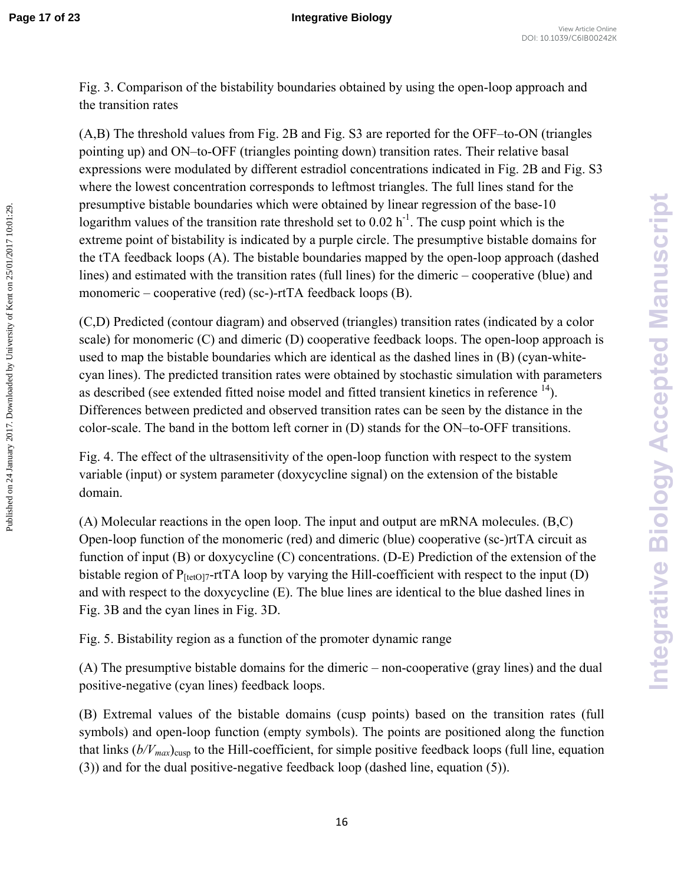#### **Page 17 of 23 Integrative Biology**

Fig. 3. Comparison of the bistability boundaries obtained by using the open-loop approach and the transition rates

 $(A,B)$  The threshold values from Fig. 2B and Fig. S3 are reported for the OFF-to-ON (triangles pointing up) and ON-to-OFF (triangles pointing down) transition rates. Their relative basal expressions were modulated by different estradiol concentrations indicated in Fig. 2B and Fig. S3 where the lowest concentration corresponds to leftmost triangles. The full lines stand for the presumptive bistable boundaries which were obtained by linear regression of the base-10 logarithm values of the transition rate threshold set to  $0.02$  h<sup>-1</sup>. The cusp point which is the extreme point of bistability is indicated by a purple circle. The presumptive bistable domains for the tTA feedback loops (A). The bistable boundaries mapped by the open-loop approach (dashed lines) and estimated with the transition rates (full lines) for the dimeric – cooperative (blue) and monomeric  $-$  cooperative (red) (sc-)-rtTA feedback loops (B).

(C,D) Predicted (contour diagram) and observed (triangles) transition rates (indicated by a color scale) for monomeric (C) and dimeric (D) cooperative feedback loops. The open-loop approach is used to map the bistable boundaries which are identical as the dashed lines in (B) (cyan-whitecyan lines). The predicted transition rates were obtained by stochastic simulation with parameters as described (see extended fitted noise model and fitted transient kinetics in reference <sup>[14](#page-14-4)</sup>). Differences between predicted and observed transition rates can be seen by the distance in the color-scale. The band in the bottom left corner in  $(D)$  stands for the ON-to-OFF transitions.

Fig. 4. The effect of the ultrasensitivity of the open-loop function with respect to the system variable (input) or system parameter (doxycycline signal) on the extension of the bistable domain.

(A) Molecular reactions in the open loop. The input and output are mRNA molecules. (B,C) Open-loop function of the monomeric (red) and dimeric (blue) cooperative (sc-)rtTA circuit as function of input (B) or doxycycline (C) concentrations. (D-E) Prediction of the extension of the bistable region of  $P_{[tetO]7}$ -rtTA loop by varying the Hill-coefficient with respect to the input (D) and with respect to the doxycycline (E). The blue lines are identical to the blue dashed lines in Fig. 3B and the cyan lines in Fig. 3D.

Fig. 5. Bistability region as a function of the promoter dynamic range

 $(A)$  The presumptive bistable domains for the dimeric – non-cooperative (gray lines) and the dual positive-negative (cyan lines) feedback loops.

(B) Extremal values of the bistable domains (cusp points) based on the transition rates (full symbols) and open-loop function (empty symbols). The points are positioned along the function that links  $(b/V_{max})_{cusp}$  to the Hill-coefficient, for simple positive feedback loops (full line, equation (3)) and for the dual positive-negative feedback loop (dashed line, equation (5)).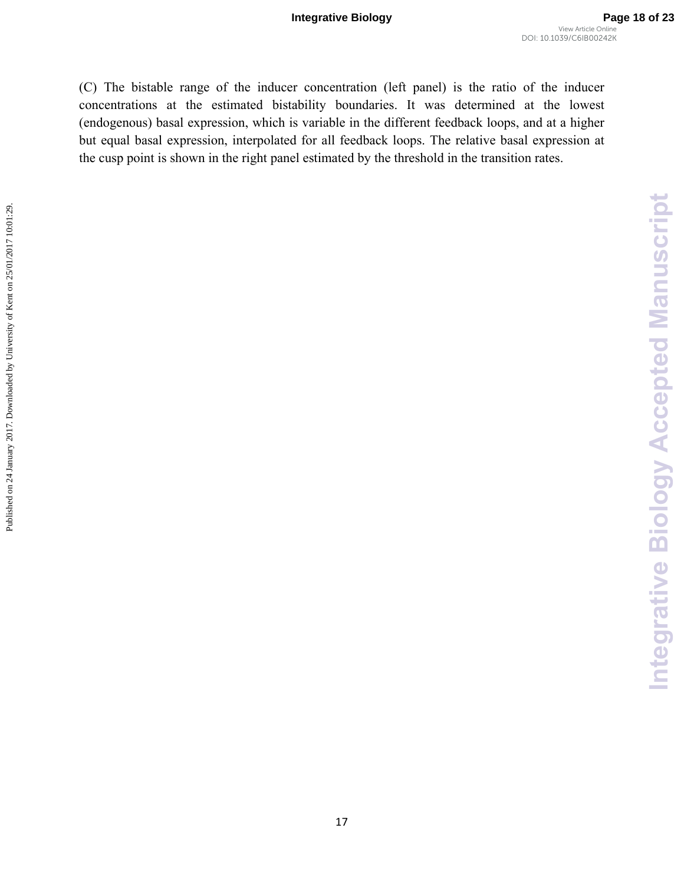(C) The bistable range of the inducer concentration (left panel) is the ratio of the inducer concentrations at the estimated bistability boundaries. It was determined at the lowest (endogenous) basal expression, which is variable in the different feedback loops, and at a higher but equal basal expression, interpolated for all feedback loops. The relative basal expression at the cusp point is shown in the right panel estimated by the threshold in the transition rates.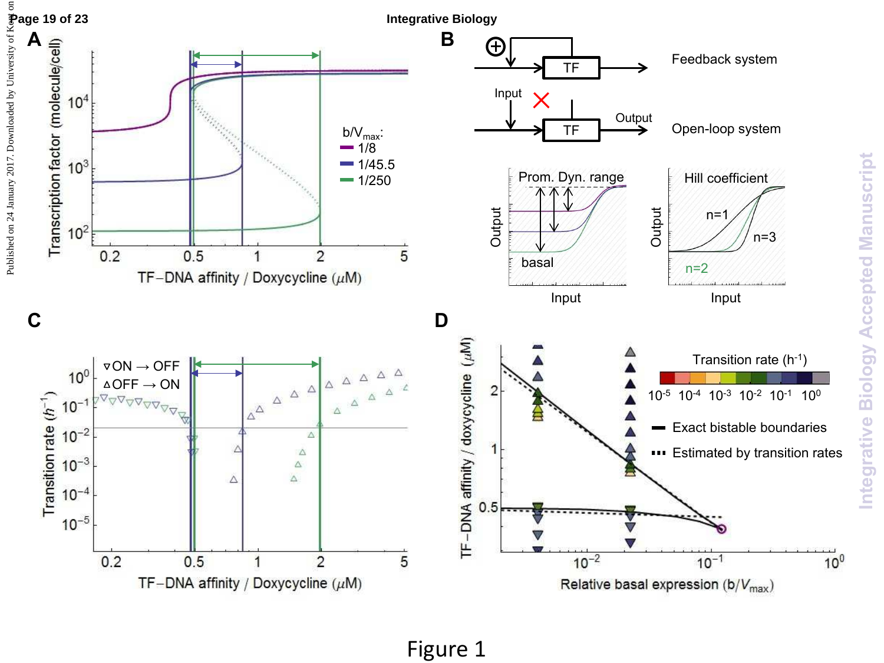

Figure 1

**Biology Accepted Manuscript Integrative Biology Accepted Manuscript** Integrative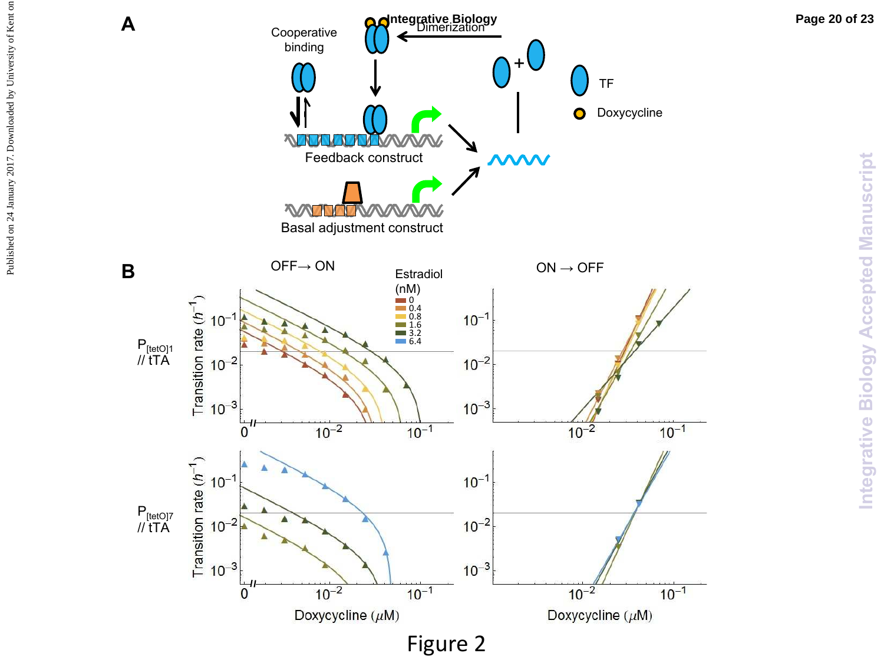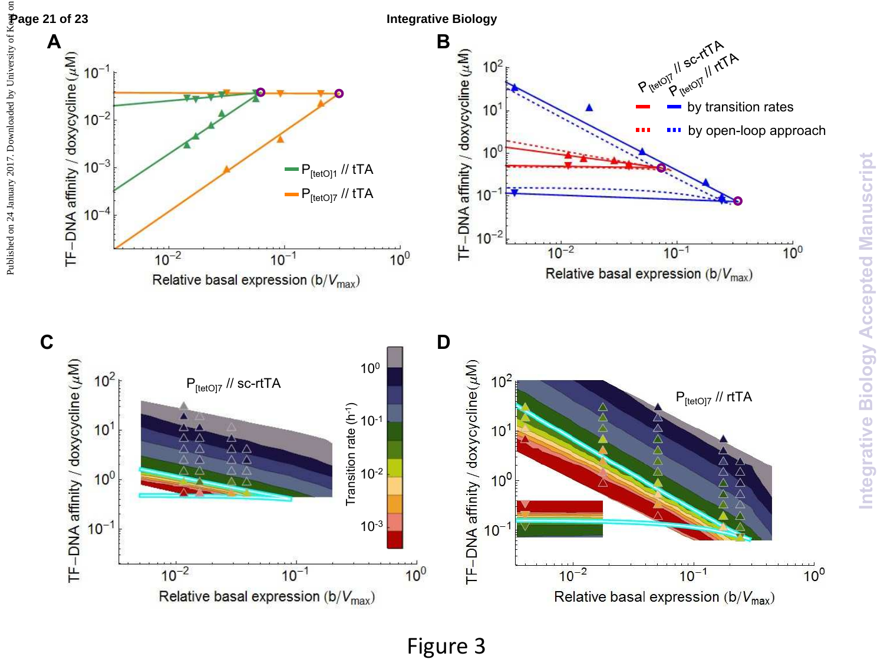

**Integrative Biology Accepted Manuscript**

Integrative

**Biology Accepted Manuscript** 

Figure 3

Published on 24 January 2017. Downloaded by University of Kett on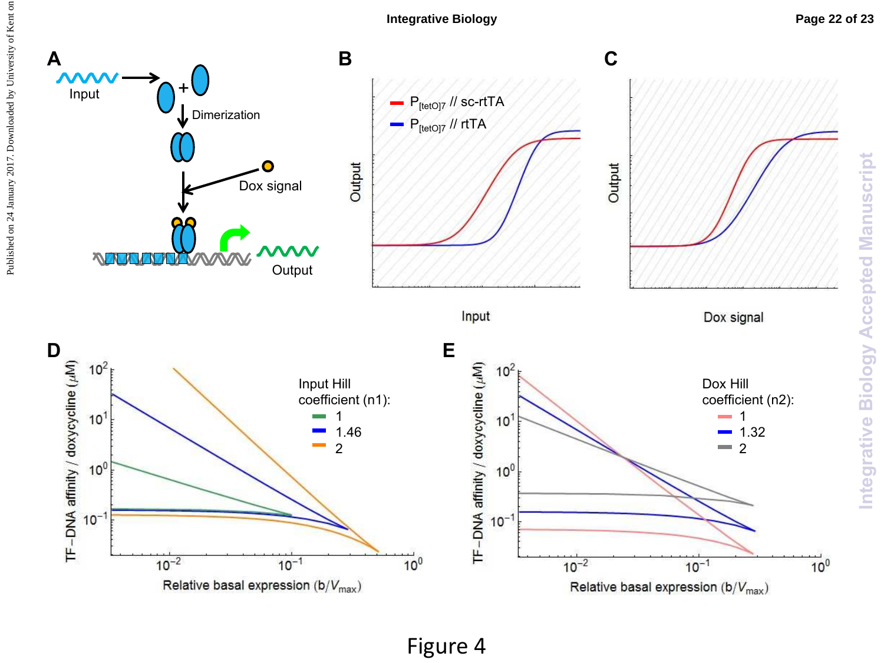**Integrative Biology Accepted Manuscript**



Figure 4